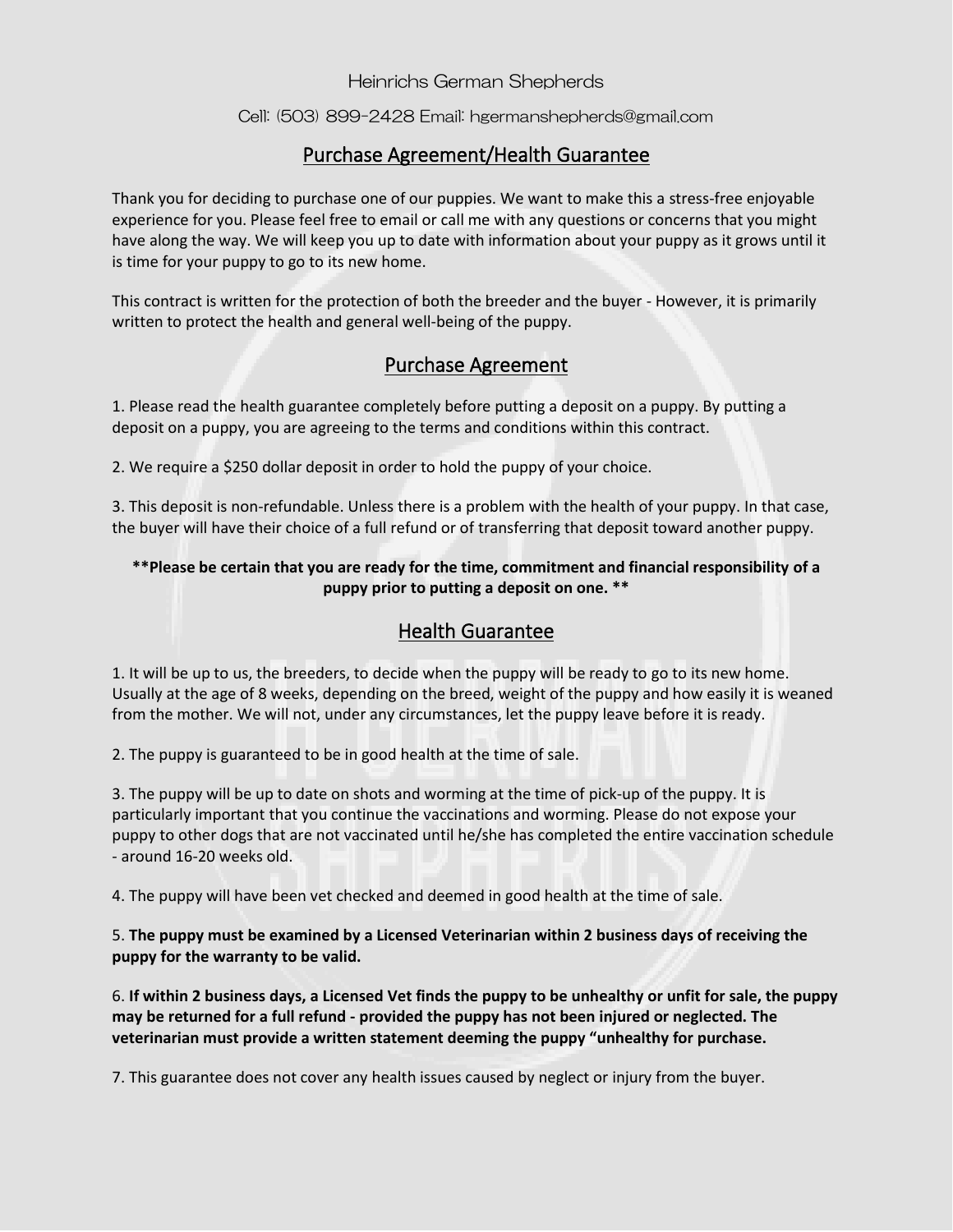Heinrichs German Shepherds

### Cell: (503) 899-2428 Email: hgermanshepherds@gmail.com

# Purchase Agreement/Health Guarantee

Thank you for deciding to purchase one of our puppies. We want to make this a stress-free enjoyable experience for you. Please feel free to email or call me with any questions or concerns that you might have along the way. We will keep you up to date with information about your puppy as it grows until it is time for your puppy to go to its new home.

This contract is written for the protection of both the breeder and the buyer - However, it is primarily written to protect the health and general well-being of the puppy.

# Purchase Agreement

1. Please read the health guarantee completely before putting a deposit on a puppy. By putting a deposit on a puppy, you are agreeing to the terms and conditions within this contract.

2. We require a \$250 dollar deposit in order to hold the puppy of your choice.

3. This deposit is non-refundable. Unless there is a problem with the health of your puppy. In that case, the buyer will have their choice of a full refund or of transferring that deposit toward another puppy.

#### **\*\*Please be certain that you are ready for the time, commitment and financial responsibility of a puppy prior to putting a deposit on one. \*\***

# Health Guarantee

1. It will be up to us, the breeders, to decide when the puppy will be ready to go to its new home. Usually at the age of 8 weeks, depending on the breed, weight of the puppy and how easily it is weaned from the mother. We will not, under any circumstances, let the puppy leave before it is ready.

2. The puppy is guaranteed to be in good health at the time of sale.

3. The puppy will be up to date on shots and worming at the time of pick-up of the puppy. It is particularly important that you continue the vaccinations and worming. Please do not expose your puppy to other dogs that are not vaccinated until he/she has completed the entire vaccination schedule - around 16-20 weeks old.

4. The puppy will have been vet checked and deemed in good health at the time of sale.

5. **The puppy must be examined by a Licensed Veterinarian within 2 business days of receiving the puppy for the warranty to be valid.**

6. **If within 2 business days, a Licensed Vet finds the puppy to be unhealthy or unfit for sale, the puppy may be returned for a full refund - provided the puppy has not been injured or neglected. The veterinarian must provide a written statement deeming the puppy "unhealthy for purchase.**

7. This guarantee does not cover any health issues caused by neglect or injury from the buyer.